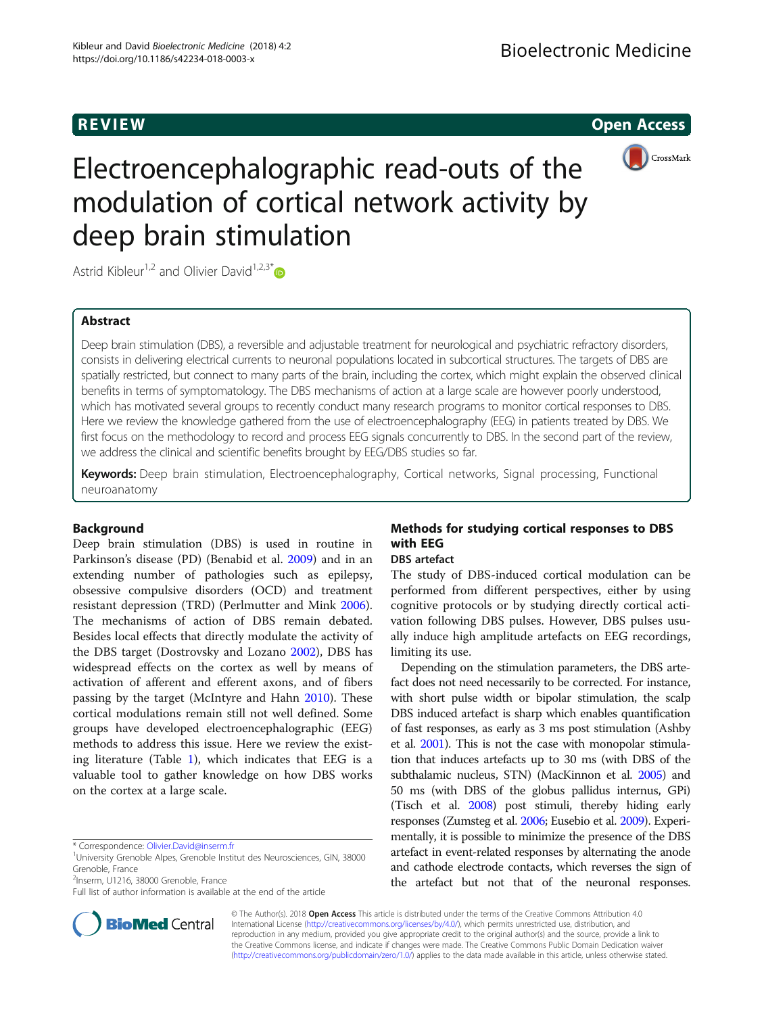R EVI EW Open Access



# Electroencephalographic read-outs of the modulation of cortical network activity by deep brain stimulation

Astrid Kibleur<sup>1,2</sup> and Olivier David<sup>1,2,3\*</sup>

#### Abstract

Deep brain stimulation (DBS), a reversible and adjustable treatment for neurological and psychiatric refractory disorders, consists in delivering electrical currents to neuronal populations located in subcortical structures. The targets of DBS are spatially restricted, but connect to many parts of the brain, including the cortex, which might explain the observed clinical benefits in terms of symptomatology. The DBS mechanisms of action at a large scale are however poorly understood, which has motivated several groups to recently conduct many research programs to monitor cortical responses to DBS. Here we review the knowledge gathered from the use of electroencephalography (EEG) in patients treated by DBS. We first focus on the methodology to record and process EEG signals concurrently to DBS. In the second part of the review, we address the clinical and scientific benefits brought by EEG/DBS studies so far.

Keywords: Deep brain stimulation, Electroencephalography, Cortical networks, Signal processing, Functional neuroanatomy

#### Background

Deep brain stimulation (DBS) is used in routine in Parkinson's disease (PD) (Benabid et al. [2009\)](#page-7-0) and in an extending number of pathologies such as epilepsy, obsessive compulsive disorders (OCD) and treatment resistant depression (TRD) (Perlmutter and Mink [2006](#page-7-0)). The mechanisms of action of DBS remain debated. Besides local effects that directly modulate the activity of the DBS target (Dostrovsky and Lozano [2002](#page-7-0)), DBS has widespread effects on the cortex as well by means of activation of afferent and efferent axons, and of fibers passing by the target (McIntyre and Hahn [2010](#page-7-0)). These cortical modulations remain still not well defined. Some groups have developed electroencephalographic (EEG) methods to address this issue. Here we review the existing literature (Table [1](#page-1-0)), which indicates that EEG is a valuable tool to gather knowledge on how DBS works on the cortex at a large scale.

<sup>2</sup>Inserm, U1216, 38000 Grenoble, France

Full list of author information is available at the end of the article



### Methods for studying cortical responses to DBS with EEG

#### DBS artefact

The study of DBS-induced cortical modulation can be performed from different perspectives, either by using cognitive protocols or by studying directly cortical activation following DBS pulses. However, DBS pulses usually induce high amplitude artefacts on EEG recordings, limiting its use.

Depending on the stimulation parameters, the DBS artefact does not need necessarily to be corrected. For instance, with short pulse width or bipolar stimulation, the scalp DBS induced artefact is sharp which enables quantification of fast responses, as early as 3 ms post stimulation (Ashby et al. [2001\)](#page-7-0). This is not the case with monopolar stimulation that induces artefacts up to 30 ms (with DBS of the subthalamic nucleus, STN) (MacKinnon et al. [2005](#page-7-0)) and 50 ms (with DBS of the globus pallidus internus, GPi) (Tisch et al. [2008](#page-8-0)) post stimuli, thereby hiding early responses (Zumsteg et al. [2006;](#page-8-0) Eusebio et al. [2009](#page-7-0)). Experimentally, it is possible to minimize the presence of the DBS artefact in event-related responses by alternating the anode and cathode electrode contacts, which reverses the sign of the artefact but not that of the neuronal responses.

© The Author(s). 2018 Open Access This article is distributed under the terms of the Creative Commons Attribution 4.0 International License [\(http://creativecommons.org/licenses/by/4.0/](http://creativecommons.org/licenses/by/4.0/)), which permits unrestricted use, distribution, and reproduction in any medium, provided you give appropriate credit to the original author(s) and the source, provide a link to the Creative Commons license, and indicate if changes were made. The Creative Commons Public Domain Dedication waiver [\(http://creativecommons.org/publicdomain/zero/1.0/](http://creativecommons.org/publicdomain/zero/1.0/)) applies to the data made available in this article, unless otherwise stated.

<sup>\*</sup> Correspondence: [Olivier.David@inserm.fr](mailto:Olivier.David@inserm.fr) <sup>1</sup>

<sup>&</sup>lt;sup>1</sup>University Grenoble Alpes, Grenoble Institut des Neurosciences, GIN, 38000 Grenoble, France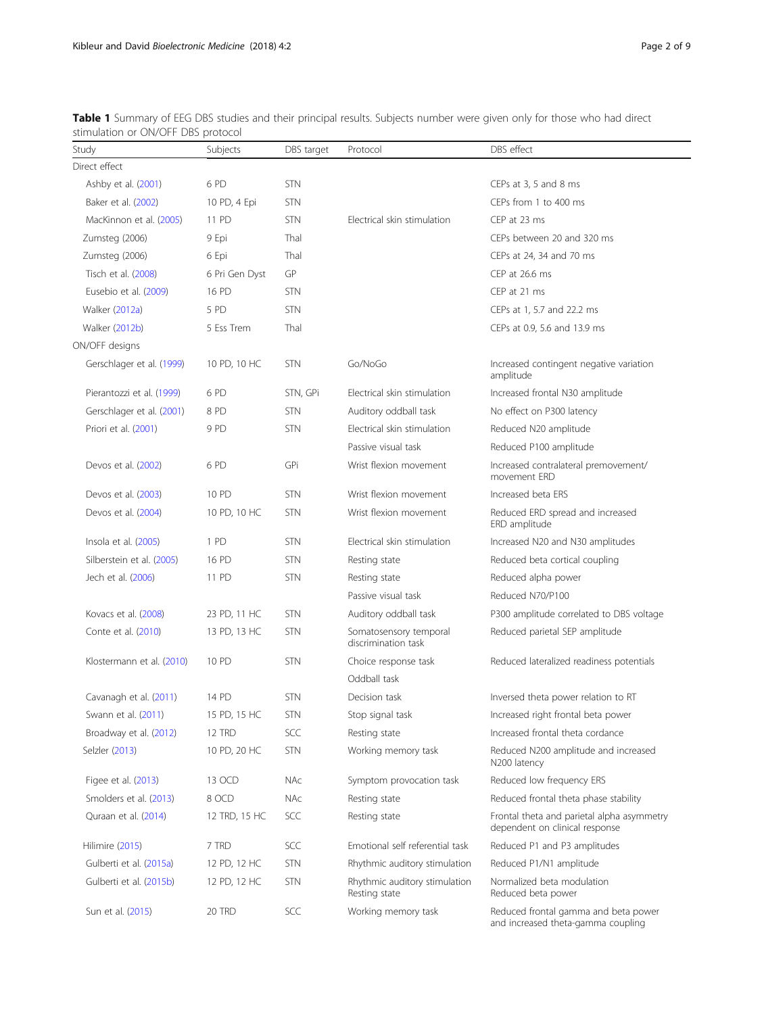| Study                     | Subjects       | DBS target | Protocol                                       | DBS effect                                                                   |
|---------------------------|----------------|------------|------------------------------------------------|------------------------------------------------------------------------------|
| Direct effect             |                |            |                                                |                                                                              |
| Ashby et al. (2001)       | 6PD            | <b>STN</b> |                                                | CEPs at 3, 5 and 8 ms                                                        |
| Baker et al. (2002)       | 10 PD, 4 Epi   | <b>STN</b> |                                                | CEPs from 1 to 400 ms                                                        |
| MacKinnon et al. (2005)   | 11 PD          | <b>STN</b> | Electrical skin stimulation                    | CEP at 23 ms                                                                 |
| Zumsteg (2006)            | 9 Epi          | Thal       |                                                | CEPs between 20 and 320 ms                                                   |
| Zumsteg (2006)            | 6 Epi          | Thal       |                                                | CEPs at 24, 34 and 70 ms                                                     |
| Tisch et al. (2008)       | 6 Pri Gen Dyst | GP         |                                                | CEP at 26.6 ms                                                               |
| Eusebio et al. (2009)     | 16 PD          | <b>STN</b> |                                                | CEP at 21 ms                                                                 |
| <b>Walker (2012a)</b>     | 5 PD           | <b>STN</b> |                                                | CEPs at 1, 5.7 and 22.2 ms                                                   |
| Walker (2012b)            | 5 Ess Trem     | Thal       |                                                | CEPs at 0.9, 5.6 and 13.9 ms                                                 |
| ON/OFF designs            |                |            |                                                |                                                                              |
| Gerschlager et al. (1999) | 10 PD, 10 HC   | <b>STN</b> | Go/NoGo                                        | Increased contingent negative variation<br>amplitude                         |
| Pierantozzi et al. (1999) | 6 PD           | STN, GPi   | Electrical skin stimulation                    | Increased frontal N30 amplitude                                              |
| Gerschlager et al. (2001) | 8PD            | <b>STN</b> | Auditory oddball task                          | No effect on P300 latency                                                    |
| Priori et al. (2001)      | 9 PD           | <b>STN</b> | Electrical skin stimulation                    | Reduced N20 amplitude                                                        |
|                           |                |            | Passive visual task                            | Reduced P100 amplitude                                                       |
| Devos et al. (2002)       | 6PD            | GPi        | Wrist flexion movement                         | Increased contralateral premovement/<br>movement FRD                         |
| Devos et al. (2003)       | 10 PD          | <b>STN</b> | Wrist flexion movement                         | Increased beta ERS                                                           |
| Devos et al. (2004)       | 10 PD, 10 HC   | <b>STN</b> | Wrist flexion movement                         | Reduced ERD spread and increased<br>ERD amplitude                            |
| Insola et al. (2005)      | 1 PD           | <b>STN</b> | Electrical skin stimulation                    | Increased N20 and N30 amplitudes                                             |
| Silberstein et al. (2005) | 16 PD          | <b>STN</b> | Resting state                                  | Reduced beta cortical coupling                                               |
| Jech et al. (2006)        | 11 PD          | <b>STN</b> | Resting state                                  | Reduced alpha power                                                          |
|                           |                |            | Passive visual task                            | Reduced N70/P100                                                             |
| Kovacs et al. (2008)      | 23 PD, 11 HC   | <b>STN</b> | Auditory oddball task                          | P300 amplitude correlated to DBS voltage                                     |
| Conte et al. (2010)       | 13 PD, 13 HC   | <b>STN</b> | Somatosensory temporal<br>discrimination task  | Reduced parietal SEP amplitude                                               |
| Klostermann et al. (2010) | 10 PD          | <b>STN</b> | Choice response task                           | Reduced lateralized readiness potentials                                     |
|                           |                |            | Oddball task                                   |                                                                              |
| Cavanagh et al. (2011)    | 14 PD          | <b>STN</b> | Decision task                                  | Inversed theta power relation to RT                                          |
| Swann et al. (2011)       | 15 PD, 15 HC   | <b>STN</b> | Stop signal task                               | Increased right frontal beta power                                           |
| Broadway et al. (2012)    | 12 TRD         | SCC        | Resting state                                  | Increased frontal theta cordance                                             |
| Selzler (2013)            | 10 PD, 20 HC   | <b>STN</b> | Working memory task                            | Reduced N200 amplitude and increased<br>N200 latency                         |
| Figee et al. (2013)       | 13 OCD         | <b>NAc</b> | Symptom provocation task                       | Reduced low frequency ERS                                                    |
| Smolders et al. (2013)    | 8 OCD          | <b>NAc</b> | Resting state                                  | Reduced frontal theta phase stability                                        |
| Quraan et al. (2014)      | 12 TRD, 15 HC  | SCC        | Resting state                                  | Frontal theta and parietal alpha asymmetry<br>dependent on clinical response |
| Hilimire (2015)           | 7 TRD          | SCC        | Emotional self referential task                | Reduced P1 and P3 amplitudes                                                 |
| Gulberti et al. (2015a)   | 12 PD, 12 HC   | <b>STN</b> | Rhythmic auditory stimulation                  | Reduced P1/N1 amplitude                                                      |
| Gulberti et al. (2015b)   | 12 PD, 12 HC   | <b>STN</b> | Rhythmic auditory stimulation<br>Resting state | Normalized beta modulation<br>Reduced beta power                             |
| Sun et al. (2015)         | 20 TRD         | SCC        | Working memory task                            | Reduced frontal gamma and beta power<br>and increased theta-gamma coupling   |

<span id="page-1-0"></span>Table 1 Summary of EEG DBS studies and their principal results. Subjects number were given only for those who had direct stimulation or ON/OFF DBS protocol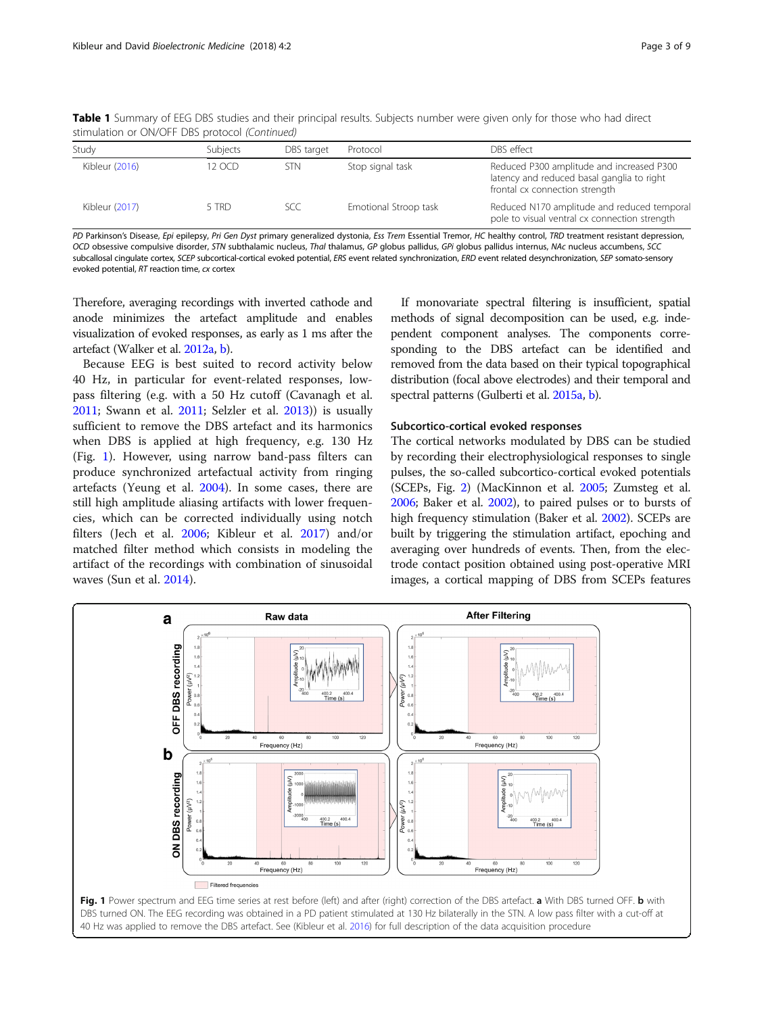| stimulation or ON/OFF DBS protocol (Continued) |          |            |                       |                                                                                                                           |  |  |
|------------------------------------------------|----------|------------|-----------------------|---------------------------------------------------------------------------------------------------------------------------|--|--|
| Study                                          | Subjects | DBS target | Protocol              | DBS effect                                                                                                                |  |  |
| Kibleur (2016)                                 | 12 OCD   | <b>STN</b> | Stop signal task      | Reduced P300 amplitude and increased P300<br>latency and reduced basal ganglia to right<br>frontal cx connection strength |  |  |
| Kibleur (2017)                                 | 5 TRD    | <b>SCC</b> | Emotional Stroop task | Reduced N170 amplitude and reduced temporal<br>pole to visual ventral cx connection strength                              |  |  |

Table 1 Summary of EEG DBS studies and their principal results. Subjects number were given only for those who had direct stimulation or ON/OFF DBS protocol (Continued)

PD Parkinson's Disease, Epi epilepsy, Pri Gen Dyst primary generalized dystonia, Ess Trem Essential Tremor, HC healthy control, TRD treatment resistant depression, OCD obsessive compulsive disorder, STN subthalamic nucleus, Thal thalamus, GP globus pallidus, GPi globus pallidus internus, NAc nucleus accumbens, SCC subcallosal cingulate cortex, SCEP subcortical-cortical evoked potential, ERS event related synchronization, ERD event related desynchronization, SEP somato-sensory evoked potential, RT reaction time, cx cortex

Therefore, averaging recordings with inverted cathode and anode minimizes the artefact amplitude and enables visualization of evoked responses, as early as 1 ms after the artefact (Walker et al. [2012a,](#page-8-0) [b](#page-8-0)).

Because EEG is best suited to record activity below 40 Hz, in particular for event-related responses, lowpass filtering (e.g. with a 50 Hz cutoff (Cavanagh et al. [2011](#page-7-0); Swann et al. [2011;](#page-7-0) Selzler et al. [2013](#page-7-0))) is usually sufficient to remove the DBS artefact and its harmonics when DBS is applied at high frequency, e.g. 130 Hz (Fig. 1). However, using narrow band-pass filters can produce synchronized artefactual activity from ringing artefacts (Yeung et al. [2004](#page-8-0)). In some cases, there are still high amplitude aliasing artifacts with lower frequencies, which can be corrected individually using notch filters (Jech et al. [2006](#page-7-0); Kibleur et al. [2017\)](#page-7-0) and/or matched filter method which consists in modeling the artifact of the recordings with combination of sinusoidal waves (Sun et al. [2014\)](#page-7-0).

If monovariate spectral filtering is insufficient, spatial methods of signal decomposition can be used, e.g. independent component analyses. The components corresponding to the DBS artefact can be identified and removed from the data based on their typical topographical distribution (focal above electrodes) and their temporal and spectral patterns (Gulberti et al. [2015a](#page-7-0), [b\)](#page-7-0).

#### Subcortico-cortical evoked responses

The cortical networks modulated by DBS can be studied by recording their electrophysiological responses to single pulses, the so-called subcortico-cortical evoked potentials (SCEPs, Fig. [2](#page-3-0)) (MacKinnon et al. [2005;](#page-7-0) Zumsteg et al. [2006;](#page-8-0) Baker et al. [2002\)](#page-7-0), to paired pulses or to bursts of high frequency stimulation (Baker et al. [2002](#page-7-0)). SCEPs are built by triggering the stimulation artifact, epoching and averaging over hundreds of events. Then, from the electrode contact position obtained using post-operative MRI images, a cortical mapping of DBS from SCEPs features

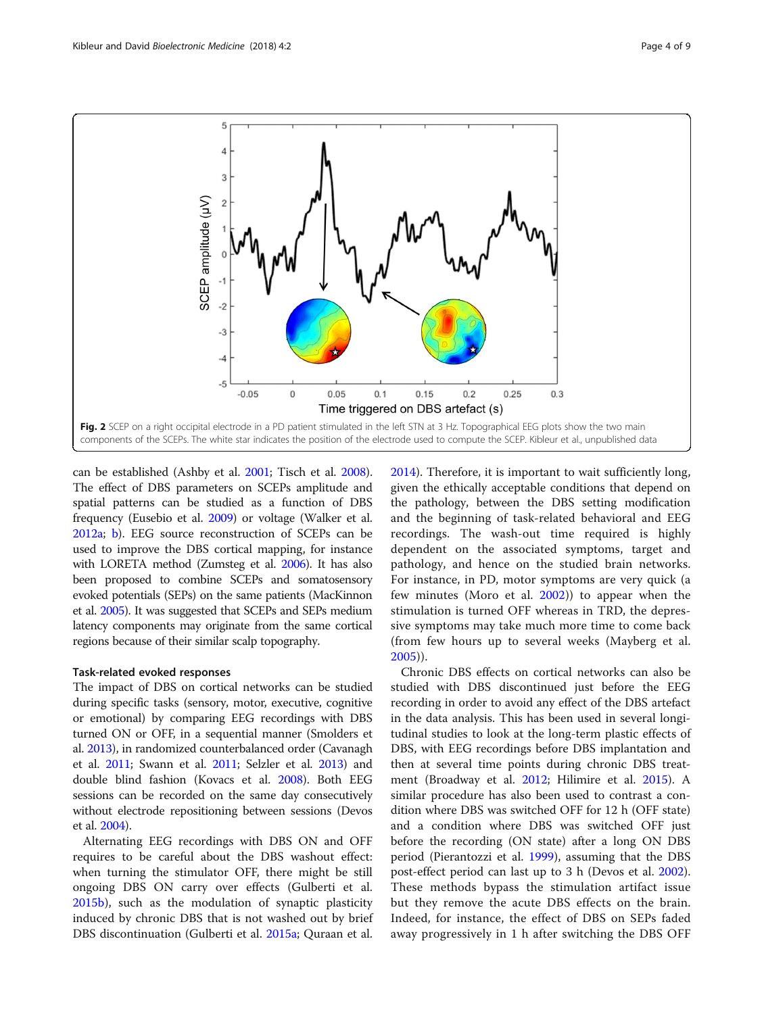<span id="page-3-0"></span>

can be established (Ashby et al. [2001](#page-7-0); Tisch et al. [2008](#page-8-0)). The effect of DBS parameters on SCEPs amplitude and spatial patterns can be studied as a function of DBS frequency (Eusebio et al. [2009\)](#page-7-0) or voltage (Walker et al. [2012a](#page-8-0); [b](#page-8-0)). EEG source reconstruction of SCEPs can be used to improve the DBS cortical mapping, for instance with LORETA method (Zumsteg et al. [2006](#page-8-0)). It has also been proposed to combine SCEPs and somatosensory evoked potentials (SEPs) on the same patients (MacKinnon et al. [2005](#page-7-0)). It was suggested that SCEPs and SEPs medium latency components may originate from the same cortical regions because of their similar scalp topography.

#### Task-related evoked responses

The impact of DBS on cortical networks can be studied during specific tasks (sensory, motor, executive, cognitive or emotional) by comparing EEG recordings with DBS turned ON or OFF, in a sequential manner (Smolders et al. [2013](#page-7-0)), in randomized counterbalanced order (Cavanagh et al. [2011;](#page-7-0) Swann et al. [2011;](#page-7-0) Selzler et al. [2013\)](#page-7-0) and double blind fashion (Kovacs et al. [2008](#page-7-0)). Both EEG sessions can be recorded on the same day consecutively without electrode repositioning between sessions (Devos et al. [2004](#page-7-0)).

Alternating EEG recordings with DBS ON and OFF requires to be careful about the DBS washout effect: when turning the stimulator OFF, there might be still ongoing DBS ON carry over effects (Gulberti et al. [2015b](#page-7-0)), such as the modulation of synaptic plasticity induced by chronic DBS that is not washed out by brief DBS discontinuation (Gulberti et al. [2015a;](#page-7-0) Quraan et al. [2014](#page-7-0)). Therefore, it is important to wait sufficiently long, given the ethically acceptable conditions that depend on the pathology, between the DBS setting modification and the beginning of task-related behavioral and EEG recordings. The wash-out time required is highly dependent on the associated symptoms, target and pathology, and hence on the studied brain networks. For instance, in PD, motor symptoms are very quick (a few minutes (Moro et al. [2002\)](#page-7-0)) to appear when the stimulation is turned OFF whereas in TRD, the depressive symptoms may take much more time to come back (from few hours up to several weeks (Mayberg et al. [2005\)](#page-7-0)).

Chronic DBS effects on cortical networks can also be studied with DBS discontinued just before the EEG recording in order to avoid any effect of the DBS artefact in the data analysis. This has been used in several longitudinal studies to look at the long-term plastic effects of DBS, with EEG recordings before DBS implantation and then at several time points during chronic DBS treatment (Broadway et al. [2012;](#page-7-0) Hilimire et al. [2015\)](#page-7-0). A similar procedure has also been used to contrast a condition where DBS was switched OFF for 12 h (OFF state) and a condition where DBS was switched OFF just before the recording (ON state) after a long ON DBS period (Pierantozzi et al. [1999\)](#page-7-0), assuming that the DBS post-effect period can last up to 3 h (Devos et al. [2002](#page-7-0)). These methods bypass the stimulation artifact issue but they remove the acute DBS effects on the brain. Indeed, for instance, the effect of DBS on SEPs faded away progressively in 1 h after switching the DBS OFF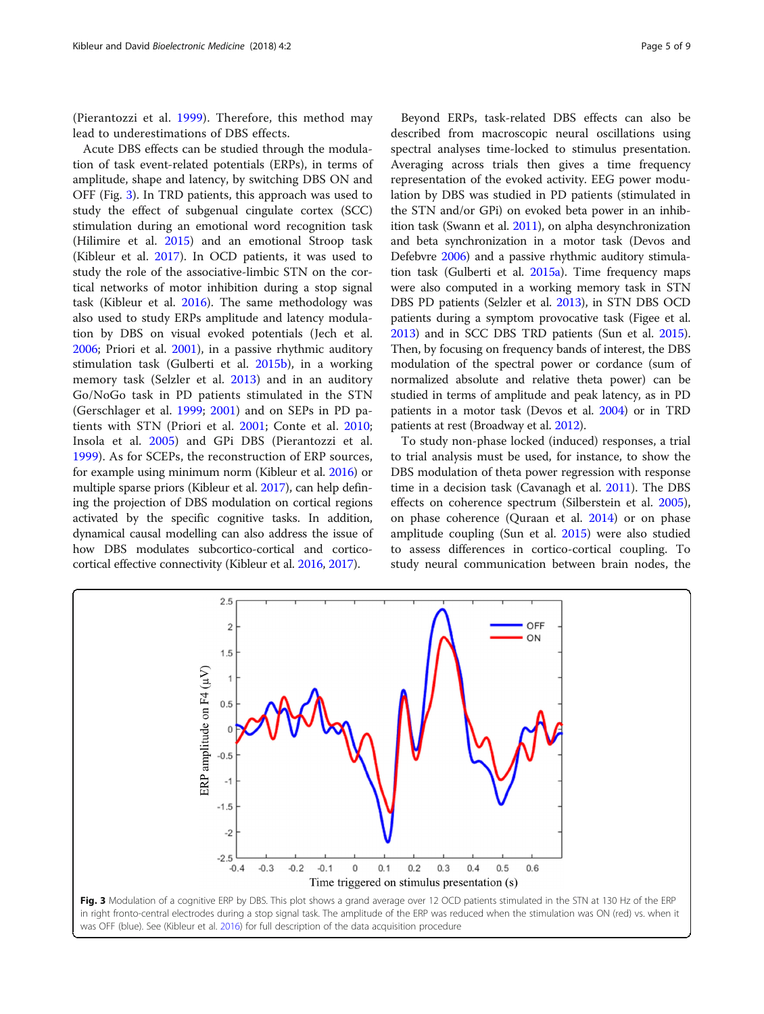(Pierantozzi et al. [1999](#page-7-0)). Therefore, this method may lead to underestimations of DBS effects.

Acute DBS effects can be studied through the modulation of task event-related potentials (ERPs), in terms of amplitude, shape and latency, by switching DBS ON and OFF (Fig. 3). In TRD patients, this approach was used to study the effect of subgenual cingulate cortex (SCC) stimulation during an emotional word recognition task (Hilimire et al. [2015](#page-7-0)) and an emotional Stroop task (Kibleur et al. [2017](#page-7-0)). In OCD patients, it was used to study the role of the associative-limbic STN on the cortical networks of motor inhibition during a stop signal task (Kibleur et al. [2016](#page-7-0)). The same methodology was also used to study ERPs amplitude and latency modulation by DBS on visual evoked potentials (Jech et al. [2006](#page-7-0); Priori et al. [2001\)](#page-7-0), in a passive rhythmic auditory stimulation task (Gulberti et al. [2015b\)](#page-7-0), in a working memory task (Selzler et al. [2013](#page-7-0)) and in an auditory Go/NoGo task in PD patients stimulated in the STN (Gerschlager et al. [1999](#page-7-0); [2001](#page-7-0)) and on SEPs in PD patients with STN (Priori et al. [2001;](#page-7-0) Conte et al. [2010](#page-7-0); Insola et al. [2005](#page-7-0)) and GPi DBS (Pierantozzi et al. [1999\)](#page-7-0). As for SCEPs, the reconstruction of ERP sources, for example using minimum norm (Kibleur et al. [2016\)](#page-7-0) or multiple sparse priors (Kibleur et al. [2017\)](#page-7-0), can help defining the projection of DBS modulation on cortical regions activated by the specific cognitive tasks. In addition, dynamical causal modelling can also address the issue of how DBS modulates subcortico-cortical and corticocortical effective connectivity (Kibleur et al. [2016,](#page-7-0) [2017\)](#page-7-0).

Beyond ERPs, task-related DBS effects can also be described from macroscopic neural oscillations using spectral analyses time-locked to stimulus presentation. Averaging across trials then gives a time frequency representation of the evoked activity. EEG power modulation by DBS was studied in PD patients (stimulated in the STN and/or GPi) on evoked beta power in an inhibition task (Swann et al. [2011](#page-7-0)), on alpha desynchronization and beta synchronization in a motor task (Devos and Defebvre [2006\)](#page-7-0) and a passive rhythmic auditory stimulation task (Gulberti et al. [2015a](#page-7-0)). Time frequency maps were also computed in a working memory task in STN DBS PD patients (Selzler et al. [2013](#page-7-0)), in STN DBS OCD patients during a symptom provocative task (Figee et al. [2013\)](#page-7-0) and in SCC DBS TRD patients (Sun et al. [2015](#page-7-0)). Then, by focusing on frequency bands of interest, the DBS modulation of the spectral power or cordance (sum of normalized absolute and relative theta power) can be studied in terms of amplitude and peak latency, as in PD patients in a motor task (Devos et al. [2004\)](#page-7-0) or in TRD patients at rest (Broadway et al. [2012\)](#page-7-0).

To study non-phase locked (induced) responses, a trial to trial analysis must be used, for instance, to show the DBS modulation of theta power regression with response time in a decision task (Cavanagh et al. [2011](#page-7-0)). The DBS effects on coherence spectrum (Silberstein et al. [2005](#page-7-0)), on phase coherence (Quraan et al. [2014\)](#page-7-0) or on phase amplitude coupling (Sun et al. [2015\)](#page-7-0) were also studied to assess differences in cortico-cortical coupling. To study neural communication between brain nodes, the

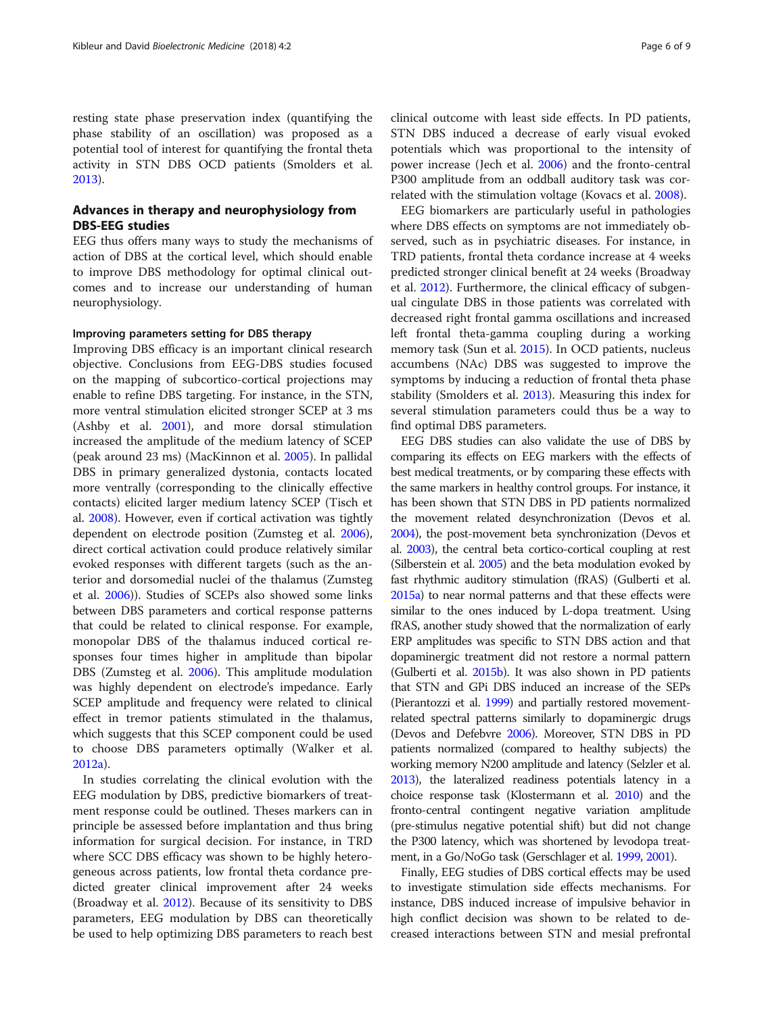resting state phase preservation index (quantifying the phase stability of an oscillation) was proposed as a potential tool of interest for quantifying the frontal theta activity in STN DBS OCD patients (Smolders et al. [2013](#page-7-0)).

#### Advances in therapy and neurophysiology from DBS-EEG studies

EEG thus offers many ways to study the mechanisms of action of DBS at the cortical level, which should enable to improve DBS methodology for optimal clinical outcomes and to increase our understanding of human neurophysiology.

#### Improving parameters setting for DBS therapy

Improving DBS efficacy is an important clinical research objective. Conclusions from EEG-DBS studies focused on the mapping of subcortico-cortical projections may enable to refine DBS targeting. For instance, in the STN, more ventral stimulation elicited stronger SCEP at 3 ms (Ashby et al. [2001\)](#page-7-0), and more dorsal stimulation increased the amplitude of the medium latency of SCEP (peak around 23 ms) (MacKinnon et al. [2005](#page-7-0)). In pallidal DBS in primary generalized dystonia, contacts located more ventrally (corresponding to the clinically effective contacts) elicited larger medium latency SCEP (Tisch et al. [2008\)](#page-8-0). However, even if cortical activation was tightly dependent on electrode position (Zumsteg et al. [2006](#page-8-0)), direct cortical activation could produce relatively similar evoked responses with different targets (such as the anterior and dorsomedial nuclei of the thalamus (Zumsteg et al. [2006](#page-8-0))). Studies of SCEPs also showed some links between DBS parameters and cortical response patterns that could be related to clinical response. For example, monopolar DBS of the thalamus induced cortical responses four times higher in amplitude than bipolar DBS (Zumsteg et al. [2006\)](#page-8-0). This amplitude modulation was highly dependent on electrode's impedance. Early SCEP amplitude and frequency were related to clinical effect in tremor patients stimulated in the thalamus, which suggests that this SCEP component could be used to choose DBS parameters optimally (Walker et al. [2012a\)](#page-8-0).

In studies correlating the clinical evolution with the EEG modulation by DBS, predictive biomarkers of treatment response could be outlined. Theses markers can in principle be assessed before implantation and thus bring information for surgical decision. For instance, in TRD where SCC DBS efficacy was shown to be highly heterogeneous across patients, low frontal theta cordance predicted greater clinical improvement after 24 weeks (Broadway et al. [2012\)](#page-7-0). Because of its sensitivity to DBS parameters, EEG modulation by DBS can theoretically be used to help optimizing DBS parameters to reach best

clinical outcome with least side effects. In PD patients, STN DBS induced a decrease of early visual evoked potentials which was proportional to the intensity of power increase (Jech et al. [2006](#page-7-0)) and the fronto-central P300 amplitude from an oddball auditory task was correlated with the stimulation voltage (Kovacs et al. [2008](#page-7-0)).

EEG biomarkers are particularly useful in pathologies where DBS effects on symptoms are not immediately observed, such as in psychiatric diseases. For instance, in TRD patients, frontal theta cordance increase at 4 weeks predicted stronger clinical benefit at 24 weeks (Broadway et al. [2012](#page-7-0)). Furthermore, the clinical efficacy of subgenual cingulate DBS in those patients was correlated with decreased right frontal gamma oscillations and increased left frontal theta-gamma coupling during a working memory task (Sun et al. [2015](#page-7-0)). In OCD patients, nucleus accumbens (NAc) DBS was suggested to improve the symptoms by inducing a reduction of frontal theta phase stability (Smolders et al. [2013](#page-7-0)). Measuring this index for several stimulation parameters could thus be a way to find optimal DBS parameters.

EEG DBS studies can also validate the use of DBS by comparing its effects on EEG markers with the effects of best medical treatments, or by comparing these effects with the same markers in healthy control groups. For instance, it has been shown that STN DBS in PD patients normalized the movement related desynchronization (Devos et al. [2004\)](#page-7-0), the post-movement beta synchronization (Devos et al. [2003](#page-7-0)), the central beta cortico-cortical coupling at rest (Silberstein et al. [2005](#page-7-0)) and the beta modulation evoked by fast rhythmic auditory stimulation (fRAS) (Gulberti et al. [2015a\)](#page-7-0) to near normal patterns and that these effects were similar to the ones induced by L-dopa treatment. Using fRAS, another study showed that the normalization of early ERP amplitudes was specific to STN DBS action and that dopaminergic treatment did not restore a normal pattern (Gulberti et al. [2015b](#page-7-0)). It was also shown in PD patients that STN and GPi DBS induced an increase of the SEPs (Pierantozzi et al. [1999](#page-7-0)) and partially restored movementrelated spectral patterns similarly to dopaminergic drugs (Devos and Defebvre [2006](#page-7-0)). Moreover, STN DBS in PD patients normalized (compared to healthy subjects) the working memory N200 amplitude and latency (Selzler et al. [2013\)](#page-7-0), the lateralized readiness potentials latency in a choice response task (Klostermann et al. [2010](#page-7-0)) and the fronto-central contingent negative variation amplitude (pre-stimulus negative potential shift) but did not change the P300 latency, which was shortened by levodopa treatment, in a Go/NoGo task (Gerschlager et al. [1999](#page-7-0), [2001\)](#page-7-0).

Finally, EEG studies of DBS cortical effects may be used to investigate stimulation side effects mechanisms. For instance, DBS induced increase of impulsive behavior in high conflict decision was shown to be related to decreased interactions between STN and mesial prefrontal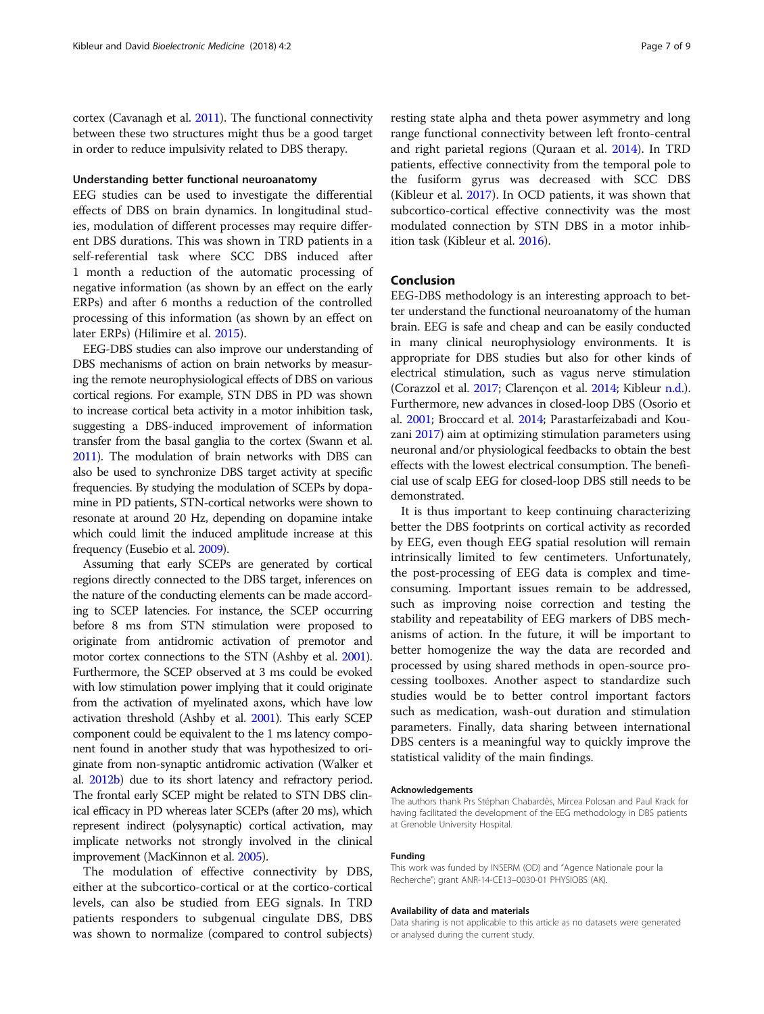cortex (Cavanagh et al. [2011](#page-7-0)). The functional connectivity between these two structures might thus be a good target in order to reduce impulsivity related to DBS therapy.

#### Understanding better functional neuroanatomy

EEG studies can be used to investigate the differential effects of DBS on brain dynamics. In longitudinal studies, modulation of different processes may require different DBS durations. This was shown in TRD patients in a self-referential task where SCC DBS induced after 1 month a reduction of the automatic processing of negative information (as shown by an effect on the early ERPs) and after 6 months a reduction of the controlled processing of this information (as shown by an effect on later ERPs) (Hilimire et al. [2015](#page-7-0)).

EEG-DBS studies can also improve our understanding of DBS mechanisms of action on brain networks by measuring the remote neurophysiological effects of DBS on various cortical regions. For example, STN DBS in PD was shown to increase cortical beta activity in a motor inhibition task, suggesting a DBS-induced improvement of information transfer from the basal ganglia to the cortex (Swann et al. [2011\)](#page-7-0). The modulation of brain networks with DBS can also be used to synchronize DBS target activity at specific frequencies. By studying the modulation of SCEPs by dopamine in PD patients, STN-cortical networks were shown to resonate at around 20 Hz, depending on dopamine intake which could limit the induced amplitude increase at this frequency (Eusebio et al. [2009\)](#page-7-0).

Assuming that early SCEPs are generated by cortical regions directly connected to the DBS target, inferences on the nature of the conducting elements can be made according to SCEP latencies. For instance, the SCEP occurring before 8 ms from STN stimulation were proposed to originate from antidromic activation of premotor and motor cortex connections to the STN (Ashby et al. [2001](#page-7-0)). Furthermore, the SCEP observed at 3 ms could be evoked with low stimulation power implying that it could originate from the activation of myelinated axons, which have low activation threshold (Ashby et al. [2001\)](#page-7-0). This early SCEP component could be equivalent to the 1 ms latency component found in another study that was hypothesized to originate from non-synaptic antidromic activation (Walker et al. [2012b](#page-8-0)) due to its short latency and refractory period. The frontal early SCEP might be related to STN DBS clinical efficacy in PD whereas later SCEPs (after 20 ms), which represent indirect (polysynaptic) cortical activation, may implicate networks not strongly involved in the clinical improvement (MacKinnon et al. [2005](#page-7-0)).

The modulation of effective connectivity by DBS, either at the subcortico-cortical or at the cortico-cortical levels, can also be studied from EEG signals. In TRD patients responders to subgenual cingulate DBS, DBS was shown to normalize (compared to control subjects) resting state alpha and theta power asymmetry and long range functional connectivity between left fronto-central and right parietal regions (Quraan et al. [2014\)](#page-7-0). In TRD patients, effective connectivity from the temporal pole to the fusiform gyrus was decreased with SCC DBS (Kibleur et al. [2017\)](#page-7-0). In OCD patients, it was shown that subcortico-cortical effective connectivity was the most modulated connection by STN DBS in a motor inhibition task (Kibleur et al. [2016](#page-7-0)).

#### Conclusion

EEG-DBS methodology is an interesting approach to better understand the functional neuroanatomy of the human brain. EEG is safe and cheap and can be easily conducted in many clinical neurophysiology environments. It is appropriate for DBS studies but also for other kinds of electrical stimulation, such as vagus nerve stimulation (Corazzol et al. [2017;](#page-7-0) Clarençon et al. [2014;](#page-7-0) Kibleur [n.d.](#page-7-0)). Furthermore, new advances in closed-loop DBS (Osorio et al. [2001](#page-7-0); Broccard et al. [2014;](#page-7-0) Parastarfeizabadi and Kouzani [2017](#page-7-0)) aim at optimizing stimulation parameters using neuronal and/or physiological feedbacks to obtain the best effects with the lowest electrical consumption. The beneficial use of scalp EEG for closed-loop DBS still needs to be demonstrated.

It is thus important to keep continuing characterizing better the DBS footprints on cortical activity as recorded by EEG, even though EEG spatial resolution will remain intrinsically limited to few centimeters. Unfortunately, the post-processing of EEG data is complex and timeconsuming. Important issues remain to be addressed, such as improving noise correction and testing the stability and repeatability of EEG markers of DBS mechanisms of action. In the future, it will be important to better homogenize the way the data are recorded and processed by using shared methods in open-source processing toolboxes. Another aspect to standardize such studies would be to better control important factors such as medication, wash-out duration and stimulation parameters. Finally, data sharing between international DBS centers is a meaningful way to quickly improve the statistical validity of the main findings.

#### Acknowledgements

The authors thank Prs Stéphan Chabardès, Mircea Polosan and Paul Krack for having facilitated the development of the EEG methodology in DBS patients at Grenoble University Hospital.

#### Funding

This work was funded by INSERM (OD) and "Agence Nationale pour la Recherche"; grant ANR-14-CE13–0030-01 PHYSIOBS (AK).

#### Availability of data and materials

Data sharing is not applicable to this article as no datasets were generated or analysed during the current study.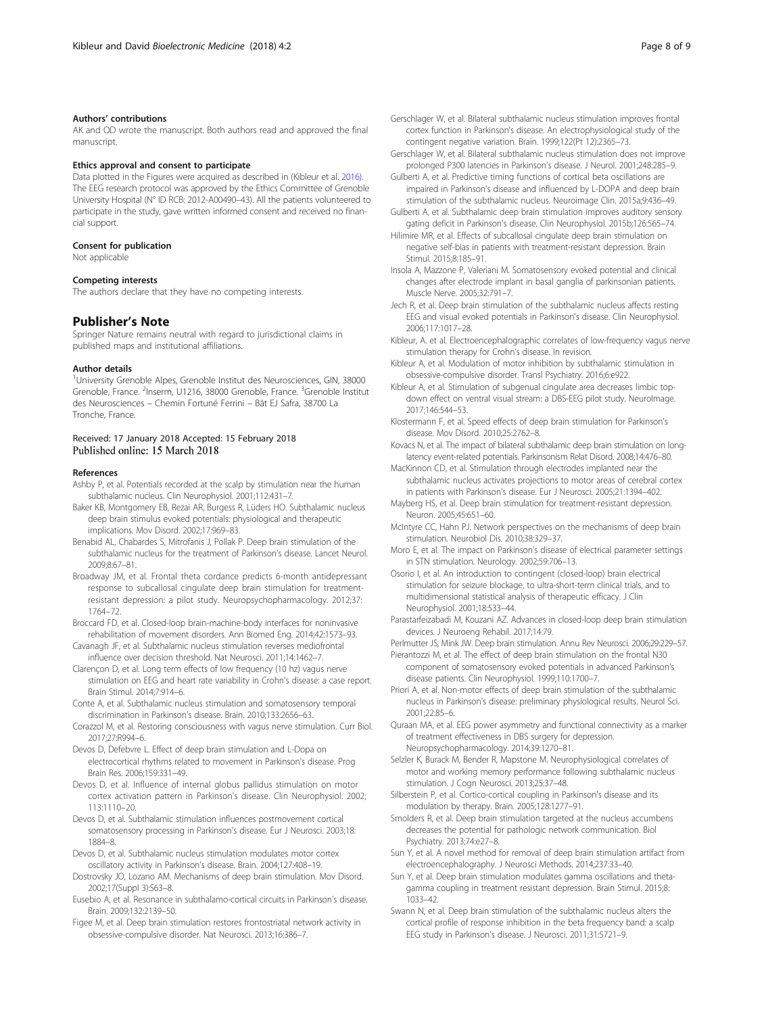#### <span id="page-7-0"></span>Authors' contributions

AK and OD wrote the manuscript. Both authors read and approved the final manuscript.

#### Ethics approval and consent to participate

Data plotted in the Figures were acquired as described in (Kibleur et al. 2016). The EEG research protocol was approved by the Ethics Committee of Grenoble University Hospital (N° ID RCB: 2012-A00490–43). All the patients volunteered to participate in the study, gave written informed consent and received no financial support.

#### Consent for publication

Not applicable

#### Competing interests

The authors declare that they have no competing interests.

#### Publisher's Note

Springer Nature remains neutral with regard to jurisdictional claims in published maps and institutional affiliations.

#### Author details

<sup>1</sup>University Grenoble Alpes, Grenoble Institut des Neurosciences, GIN, 38000 Grenoble, France. <sup>2</sup>Inserm, U1216, 38000 Grenoble, France. <sup>3</sup>Grenoble Institut des Neurosciences – Chemin Fortuné Ferrini – Bât EJ Safra, 38700 La Tronche, France.

## Received: 17 January 2018 Accepted: 15 February 2018<br>Published online: 15 March 2018

#### References

- Ashby P, et al. Potentials recorded at the scalp by stimulation near the human subthalamic nucleus. Clin Neurophysiol. 2001;112:431–7.
- Baker KB, Montgomery EB, Rezai AR, Burgess R, Lüders HO. Subthalamic nucleus deep brain stimulus evoked potentials: physiological and therapeutic implications. Mov Disord. 2002;17:969–83.
- Benabid AL, Chabardes S, Mitrofanis J, Pollak P. Deep brain stimulation of the subthalamic nucleus for the treatment of Parkinson's disease. Lancet Neurol. 2009;8:67–81.
- Broadway JM, et al. Frontal theta cordance predicts 6-month antidepressant response to subcallosal cingulate deep brain stimulation for treatmentresistant depression: a pilot study. Neuropsychopharmacology. 2012;37: 1764–72.
- Broccard FD, et al. Closed-loop brain-machine-body interfaces for noninvasive rehabilitation of movement disorders. Ann Biomed Eng. 2014;42:1573–93.
- Cavanagh JF, et al. Subthalamic nucleus stimulation reverses mediofrontal influence over decision threshold. Nat Neurosci. 2011;14:1462–7.
- Clarençon D, et al. Long term effects of low frequency (10 hz) vagus nerve stimulation on EEG and heart rate variability in Crohn's disease: a case report. Brain Stimul. 2014;7:914–6.
- Conte A, et al. Subthalamic nucleus stimulation and somatosensory temporal discrimination in Parkinson's disease. Brain. 2010;133:2656–63.
- Corazzol M, et al. Restoring consciousness with vagus nerve stimulation. Curr Biol. 2017;27:R994–6.
- Devos D, Defebvre L. Effect of deep brain stimulation and L-Dopa on electrocortical rhythms related to movement in Parkinson's disease. Prog Brain Res. 2006;159:331–49.
- Devos D, et al. Influence of internal globus pallidus stimulation on motor cortex activation pattern in Parkinson's disease. Clin Neurophysiol. 2002; 113:1110–20.
- Devos D, et al. Subthalamic stimulation influences postmovement cortical somatosensory processing in Parkinson's disease. Eur J Neurosci. 2003;18: 1884–8.
- Devos D, et al. Subthalamic nucleus stimulation modulates motor cortex oscillatory activity in Parkinson's disease. Brain. 2004;127:408–19.
- Dostrovsky JO, Lozano AM. Mechanisms of deep brain stimulation. Mov Disord. 2002;17(Suppl 3):S63–8.
- Eusebio A, et al. Resonance in subthalamo-cortical circuits in Parkinson's disease. Brain. 2009;132:2139–50.
- Figee M, et al. Deep brain stimulation restores frontostriatal network activity in obsessive-compulsive disorder. Nat Neurosci. 2013;16:386–7.
- Gerschlager W, et al. Bilateral subthalamic nucleus stimulation improves frontal cortex function in Parkinson's disease. An electrophysiological study of the contingent negative variation. Brain. 1999;122(Pt 12):2365–73.
- Gerschlager W, et al. Bilateral subthalamic nucleus stimulation does not improve prolonged P300 latencies in Parkinson's disease. J Neurol. 2001;248:285–9.
- Gulberti A, et al. Predictive timing functions of cortical beta oscillations are impaired in Parkinson's disease and influenced by L-DOPA and deep brain stimulation of the subthalamic nucleus. Neuroimage Clin. 2015a;9:436–49.

Gulberti A, et al. Subthalamic deep brain stimulation improves auditory sensory gating deficit in Parkinson's disease. Clin Neurophysiol. 2015b;126:565–74.

- Hilimire MR, et al. Effects of subcallosal cingulate deep brain stimulation on negative self-bias in patients with treatment-resistant depression. Brain Stimul. 2015;8:185–91.
- Insola A, Mazzone P, Valeriani M. Somatosensory evoked potential and clinical changes after electrode implant in basal ganglia of parkinsonian patients. Muscle Nerve. 2005;32:791–7.
- Jech R, et al. Deep brain stimulation of the subthalamic nucleus affects resting EEG and visual evoked potentials in Parkinson's disease. Clin Neurophysiol. 2006;117:1017–28.
- Kibleur, A. et al. Electroencephalographic correlates of low-frequency vagus nerve stimulation therapy for Crohn's disease. In revision.
- Kibleur A, et al. Modulation of motor inhibition by subthalamic stimulation in obsessive-compulsive disorder. Transl Psychiatry. 2016;6:e922.
- Kibleur A, et al. Stimulation of subgenual cingulate area decreases limbic topdown effect on ventral visual stream: a DBS-EEG pilot study. NeuroImage. 2017;146:544–53.
- Klostermann F, et al. Speed effects of deep brain stimulation for Parkinson's disease. Mov Disord. 2010;25:2762–8.
- Kovacs N, et al. The impact of bilateral subthalamic deep brain stimulation on longlatency event-related potentials. Parkinsonism Relat Disord. 2008;14:476–80.
- MacKinnon CD, et al. Stimulation through electrodes implanted near the subthalamic nucleus activates projections to motor areas of cerebral cortex in patients with Parkinson's disease. Eur J Neurosci. 2005;21:1394–402. Mayberg HS, et al. Deep brain stimulation for treatment-resistant depression.
- Neuron. 2005;45:651–60.
- McIntyre CC, Hahn PJ. Network perspectives on the mechanisms of deep brain stimulation. Neurobiol Dis. 2010;38:329–37.
- Moro E, et al. The impact on Parkinson's disease of electrical parameter settings in STN stimulation. Neurology. 2002;59:706–13.
- Osorio I, et al. An introduction to contingent (closed-loop) brain electrical stimulation for seizure blockage, to ultra-short-term clinical trials, and to multidimensional statistical analysis of therapeutic efficacy. J Clin Neurophysiol. 2001;18:533–44.
- Parastarfeizabadi M, Kouzani AZ. Advances in closed-loop deep brain stimulation devices. J Neuroeng Rehabil. 2017;14:79.

Perlmutter JS, Mink JW. Deep brain stimulation. Annu Rev Neurosci. 2006;29:229–57.

- Pierantozzi M, et al. The effect of deep brain stimulation on the frontal N30 component of somatosensory evoked potentials in advanced Parkinson's disease patients. Clin Neurophysiol. 1999;110:1700–7.
- Priori A, et al. Non-motor effects of deep brain stimulation of the subthalamic nucleus in Parkinson's disease: preliminary physiological results. Neurol Sci. 2001;22:85–6.
- Quraan MA, et al. EEG power asymmetry and functional connectivity as a marker of treatment effectiveness in DBS surgery for depression. Neuropsychopharmacology. 2014;39:1270–81.
- Selzler K, Burack M, Bender R, Mapstone M. Neurophysiological correlates of motor and working memory performance following subthalamic nucleus stimulation. J Cogn Neurosci. 2013;25:37–48.
- Silberstein P, et al. Cortico-cortical coupling in Parkinson's disease and its modulation by therapy. Brain. 2005;128:1277–91.
- Smolders R, et al. Deep brain stimulation targeted at the nucleus accumbens decreases the potential for pathologic network communication. Biol Psychiatry. 2013;74:e27–8.
- Sun Y, et al. A novel method for removal of deep brain stimulation artifact from electroencephalography. J Neurosci Methods. 2014;237:33–40.
- Sun Y, et al. Deep brain stimulation modulates gamma oscillations and thetagamma coupling in treatment resistant depression. Brain Stimul. 2015;8: 1033–42.
- Swann N, et al. Deep brain stimulation of the subthalamic nucleus alters the cortical profile of response inhibition in the beta frequency band: a scalp EEG study in Parkinson's disease. J Neurosci. 2011;31:5721–9.